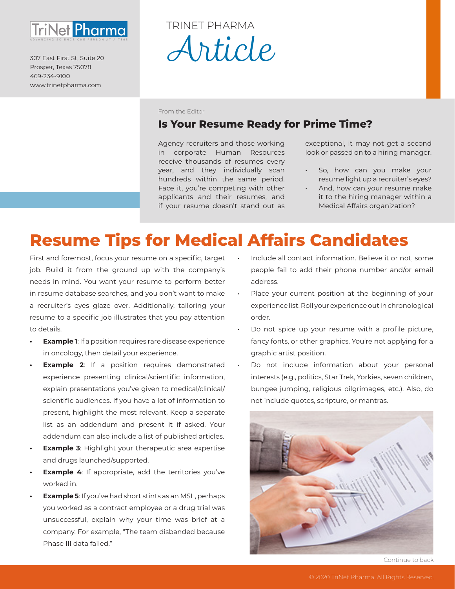

307 East First St, Suite 20 Prosper, Texas 75078 469-234-9100 www.trinetpharma.com

# *Article* TRINET PHARMA

From the Editor

### **Is Your Resume Ready for Prime Time?**

Agency recruiters and those working in corporate Human Resources receive thousands of resumes every year, and they individually scan hundreds within the same period. Face it, you're competing with other applicants and their resumes, and if your resume doesn't stand out as

exceptional, it may not get a second look or passed on to a hiring manager.

- So, how can you make your resume light up a recruiter's eyes?
- And, how can your resume make it to the hiring manager within a Medical Affairs organization?

## **Resume Tips for Medical Affairs Candidates**

First and foremost, focus your resume on a specific, target job. Build it from the ground up with the company's needs in mind. You want your resume to perform better in resume database searches, and you don't want to make a recruiter's eyes glaze over. Additionally, tailoring your resume to a specific job illustrates that you pay attention to details.

- **Example 1**: If a position requires rare disease experience in oncology, then detail your experience.
- **Example 2:** If a position requires demonstrated experience presenting clinical/scientific information, explain presentations you've given to medical/clinical/ scientific audiences. If you have a lot of information to present, highlight the most relevant. Keep a separate list as an addendum and present it if asked. Your addendum can also include a list of published articles.
- **Example 3: Highlight your therapeutic area expertise** and drugs launched/supported.
- **Example 4:** If appropriate, add the territories you've worked in.
- **• Example 5**: If you've had short stints as an MSL, perhaps you worked as a contract employee or a drug trial was unsuccessful, explain why your time was brief at a company. For example, "The team disbanded because Phase III data failed."
- Include all contact information. Believe it or not, some people fail to add their phone number and/or email address.
- Place your current position at the beginning of your experience list. Roll your experience out in chronological order.
- Do not spice up your resume with a profile picture, fancy fonts, or other graphics. You're not applying for a graphic artist position.
- Do not include information about your personal interests (e.g., politics, Star Trek, Yorkies, seven children, bungee jumping, religious pilgrimages, etc.). Also, do not include quotes, scripture, or mantras.



Continue to back